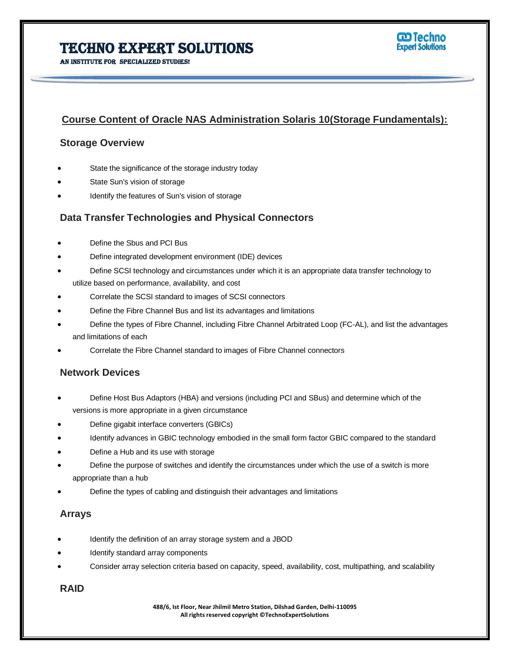# Techno Expert Solutions

AN INSTITUTE FOR SPECIALIZED STUDIES!  $\overline{a}$ 



## **Course Content of Oracle NAS Administration Solaris 10(Storage Fundamentals):**

### **Storage Overview**

- State the significance of the storage industry today
- State Sun's vision of storage
- Identify the features of Sun's vision of storage

### **Data Transfer Technologies and Physical Connectors**

- Define the Sbus and PCI Bus
- Define integrated development environment (IDE) devices
- Define SCSI technology and circumstances under which it is an appropriate data transfer technology to utilize based on performance, availability, and cost
- Correlate the SCSI standard to images of SCSI connectors
- Define the Fibre Channel Bus and list its advantages and limitations
- Define the types of Fibre Channel, including Fibre Channel Arbitrated Loop (FC-AL), and list the advantages and limitations of each
- Correlate the Fibre Channel standard to images of Fibre Channel connectors

### **Network Devices**

- Define Host Bus Adaptors (HBA) and versions (including PCI and SBus) and determine which of the versions is more appropriate in a given circumstance
- Define gigabit interface converters (GBICs)
- Identify advances in GBIC technology embodied in the small form factor GBIC compared to the standard
- Define a Hub and its use with storage
- Define the purpose of switches and identify the circumstances under which the use of a switch is more appropriate than a hub
- Define the types of cabling and distinguish their advantages and limitations

### **Arrays**

- Identify the definition of an array storage system and a JBOD
- Identify standard array components
- Consider array selection criteria based on capacity, speed, availability, cost, multipathing, and scalability

#### **RAID**

**488/6, Ist Floor, Near Jhilmil Metro Station, Dilshad Garden, Delhi-110095 All rights reserved copyright ©TechnoExpertSolutions**